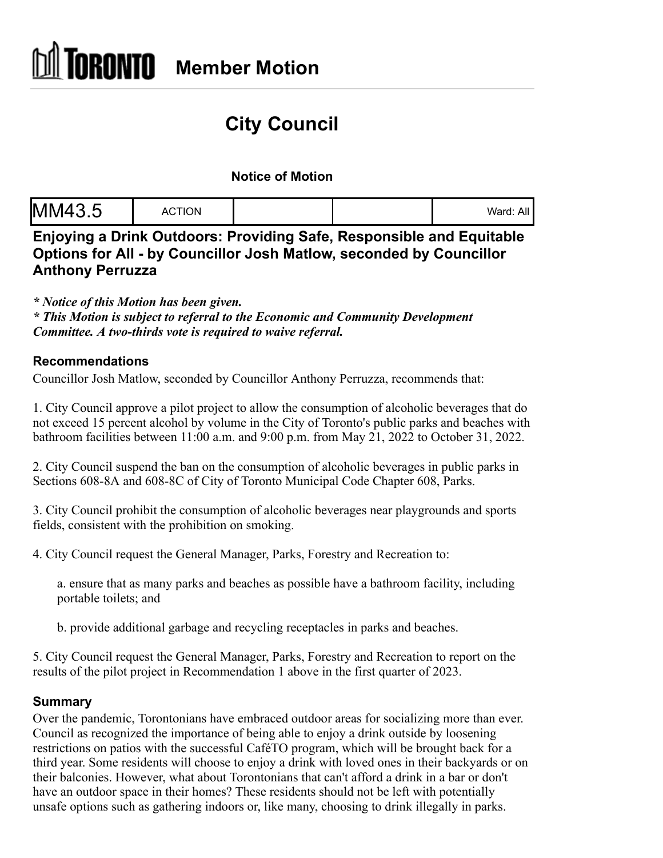# **City Council**

## **Notice of Motion**

| MM43<br>$\cdot$ $\cup$ | <b>CTION</b><br>AC. |  |  | Ward:<br>All |
|------------------------|---------------------|--|--|--------------|
|------------------------|---------------------|--|--|--------------|

**Enjoying a Drink Outdoors: Providing Safe, Responsible and Equitable Options for All - by Councillor Josh Matlow, seconded by Councillor Anthony Perruzza**

*\* Notice of this Motion has been given.*

*\* This Motion is subject to referral to the Economic and Community Development Committee. A two-thirds vote is required to waive referral.*

### **Recommendations**

Councillor Josh Matlow, seconded by Councillor Anthony Perruzza, recommends that:

1. City Council approve a pilot project to allow the consumption of alcoholic beverages that do not exceed 15 percent alcohol by volume in the City of Toronto's public parks and beaches with bathroom facilities between 11:00 a.m. and 9:00 p.m. from May 21, 2022 to October 31, 2022.

2. City Council suspend the ban on the consumption of alcoholic beverages in public parks in Sections 608-8A and 608-8C of City of Toronto Municipal Code Chapter 608, Parks.

3. City Council prohibit the consumption of alcoholic beverages near playgrounds and sports fields, consistent with the prohibition on smoking.

4. City Council request the General Manager, Parks, Forestry and Recreation to:

a. ensure that as many parks and beaches as possible have a bathroom facility, including portable toilets; and

b. provide additional garbage and recycling receptacles in parks and beaches.

5. City Council request the General Manager, Parks, Forestry and Recreation to report on the results of the pilot project in Recommendation 1 above in the first quarter of 2023.

### **Summary**

Over the pandemic, Torontonians have embraced outdoor areas for socializing more than ever. Council as recognized the importance of being able to enjoy a drink outside by loosening restrictions on patios with the successful CaféTO program, which will be brought back for a third year. Some residents will choose to enjoy a drink with loved ones in their backyards or on their balconies. However, what about Torontonians that can't afford a drink in a bar or don't have an outdoor space in their homes? These residents should not be left with potentially unsafe options such as gathering indoors or, like many, choosing to drink illegally in parks.